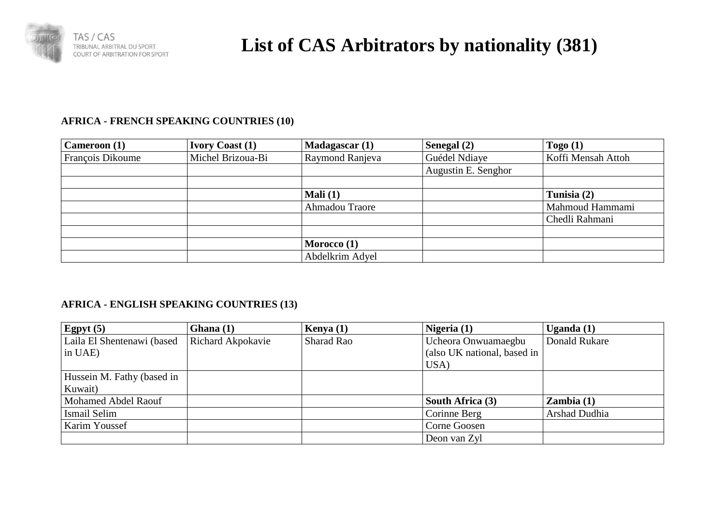

# **List of CAS Arbitrators by nationality (381)**

### **AFRICA - FRENCH SPEAKING COUNTRIES (10)**

| Cameroon (1)            | <b>Ivory Coast (1)</b> | Madagascar(1)   | Senegal (2)         | Togo $(1)$         |
|-------------------------|------------------------|-----------------|---------------------|--------------------|
| <b>François Dikoume</b> | Michel Brizoua-Bi      | Raymond Ranjeva | Guédel Ndiaye       | Koffi Mensah Attoh |
|                         |                        |                 | Augustin E. Senghor |                    |
|                         |                        |                 |                     |                    |
|                         |                        | Mali $(1)$      |                     | Tunisia (2)        |
|                         |                        | Ahmadou Traore  |                     | Mahmoud Hammami    |
|                         |                        |                 |                     | Chedli Rahmani     |
|                         |                        |                 |                     |                    |
|                         |                        | Morocco $(1)$   |                     |                    |
|                         |                        | Abdelkrim Adyel |                     |                    |

#### **AFRICA - ENGLISH SPEAKING COUNTRIES (13)**

| Egpyt $(5)$                | Ghana $(1)$       | Kenya $(1)$ | Nigeria $(1)$               | Uganda (1)    |
|----------------------------|-------------------|-------------|-----------------------------|---------------|
| Laila El Shentenawi (based | Richard Akpokavie | Sharad Rao  | Ucheora Onwuamaegbu         | Donald Rukare |
| in UAE)                    |                   |             | (also UK national, based in |               |
|                            |                   |             | USA)                        |               |
| Hussein M. Fathy (based in |                   |             |                             |               |
| Kuwait)                    |                   |             |                             |               |
| Mohamed Abdel Raouf        |                   |             | South Africa (3)            | Zambia(1)     |
| Ismail Selim               |                   |             | Corinne Berg                | Arshad Dudhia |
| Karim Youssef              |                   |             | Corne Goosen                |               |
|                            |                   |             | Deon van Zyl                |               |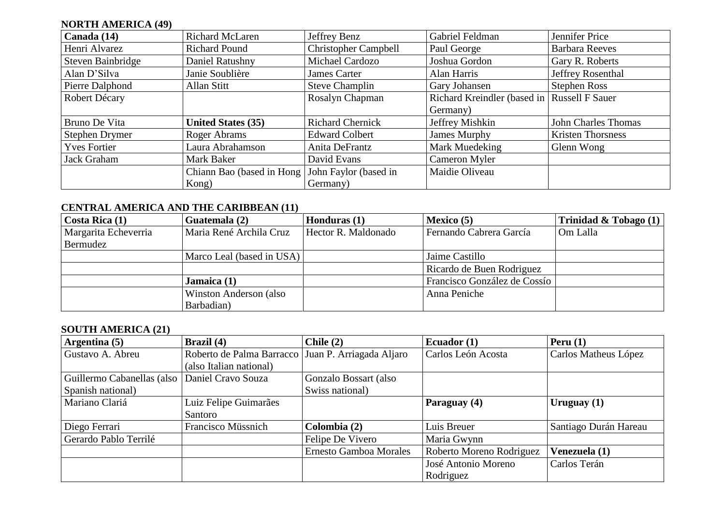## **NORTH AMERICA (49)**

| Canada (14)         | <b>Richard McLaren</b>                          | Jeffrey Benz                | Gabriel Feldman                             | Jennifer Price           |
|---------------------|-------------------------------------------------|-----------------------------|---------------------------------------------|--------------------------|
| Henri Alvarez       | <b>Richard Pound</b>                            | <b>Christopher Campbell</b> | Paul George                                 | <b>Barbara Reeves</b>    |
| Steven Bainbridge   | Daniel Ratushny                                 | Michael Cardozo             | Joshua Gordon                               | Gary R. Roberts          |
| Alan D'Silva        | Janie Soublière                                 | James Carter                | Alan Harris                                 | Jeffrey Rosenthal        |
| Pierre Dalphond     | Allan Stitt                                     | <b>Steve Champlin</b>       | Gary Johansen                               | <b>Stephen Ross</b>      |
| Robert Décary       |                                                 | Rosalyn Chapman             | Richard Kreindler (based in Russell F Sauer |                          |
|                     |                                                 |                             | Germany)                                    |                          |
| Bruno De Vita       | <b>United States (35)</b>                       | <b>Richard Chernick</b>     | Jeffrey Mishkin                             | John Charles Thomas      |
| Stephen Drymer      | Roger Abrams                                    | <b>Edward Colbert</b>       | James Murphy                                | <b>Kristen Thorsness</b> |
| <b>Yves Fortier</b> | Laura Abrahamson                                | Anita DeFrantz              | Mark Muedeking                              | Glenn Wong               |
| Jack Graham         | Mark Baker                                      | David Evans                 | Cameron Myler                               |                          |
|                     | Chiann Bao (based in Hong John Faylor (based in |                             | Maidie Oliveau                              |                          |
|                     | Kong)                                           | Germany)                    |                                             |                          |

#### **CENTRAL AMERICA AND THE CARIBBEAN (11)**

| Costa Rica (1)       | Guatemala (2)             | Honduras (1)        | Mexico $(5)$                 | Trinidad & Tobago $(1)$ |
|----------------------|---------------------------|---------------------|------------------------------|-------------------------|
| Margarita Echeverria | Maria René Archila Cruz   | Hector R. Maldonado | Fernando Cabrera García      | Om Lalla                |
| Bermudez             |                           |                     |                              |                         |
|                      | Marco Leal (based in USA) |                     | Jaime Castillo               |                         |
|                      |                           |                     | Ricardo de Buen Rodriguez    |                         |
|                      | Jamaica $(1)$             |                     | Francisco González de Cossío |                         |
|                      | Winston Anderson (also    |                     | Anna Peniche                 |                         |
|                      | Barbadian)                |                     |                              |                         |

#### **SOUTH AMERICA (21)**

| Argentina (5)              | Brazil (4)                                         | Chile $(2)$                   | Ecuador $(1)$            | Peru $(1)$            |
|----------------------------|----------------------------------------------------|-------------------------------|--------------------------|-----------------------|
| Gustavo A. Abreu           | Roberto de Palma Barracco Juan P. Arriagada Aljaro |                               | Carlos León Acosta       | Carlos Matheus López  |
|                            | (also Italian national)                            |                               |                          |                       |
| Guillermo Cabanellas (also | Daniel Cravo Souza                                 | Gonzalo Bossart (also         |                          |                       |
| Spanish national)          |                                                    | Swiss national)               |                          |                       |
| Mariano Clariá             | Luiz Felipe Guimarães                              |                               | Paraguay (4)             | Uruguay $(1)$         |
|                            | Santoro                                            |                               |                          |                       |
| Diego Ferrari              | Francisco Müssnich                                 | Colombia (2)                  | Luis Breuer              | Santiago Durán Hareau |
| Gerardo Pablo Terrilé      |                                                    | Felipe De Vivero              | Maria Gwynn              |                       |
|                            |                                                    | <b>Ernesto Gamboa Morales</b> | Roberto Moreno Rodriguez | Venezuela (1)         |
|                            |                                                    |                               | José Antonio Moreno      | Carlos Terán          |
|                            |                                                    |                               | Rodriguez                |                       |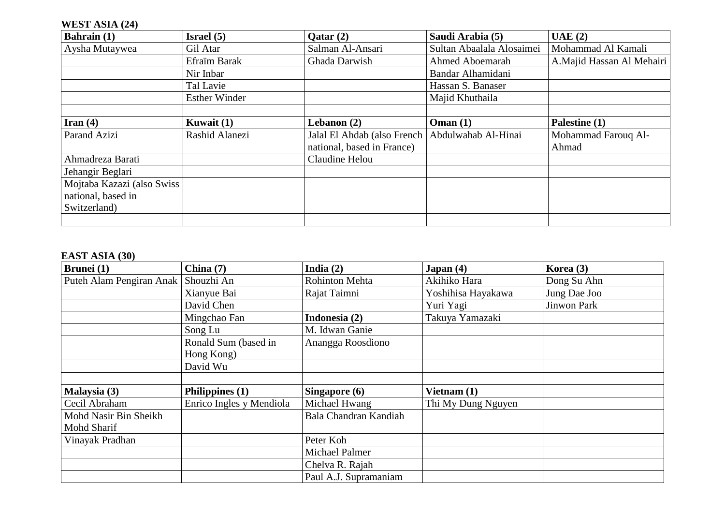### **WEST ASIA (24)**

| <b>Bahrain</b> (1)         | Israel $(5)$         | $\mathrm{O} \text{atar} (2)$                      | Saudi Arabia (5)          | UAE(2)                    |
|----------------------------|----------------------|---------------------------------------------------|---------------------------|---------------------------|
| Aysha Mutaywea             | Gil Atar             | Salman Al-Ansari                                  | Sultan Abaalala Alosaimei | Mohammad Al Kamali        |
|                            | Efraïm Barak         | Ghada Darwish                                     | Ahmed Aboemarah           | A.Majid Hassan Al Mehairi |
|                            | Nir Inbar            |                                                   | Bandar Alhamidani         |                           |
|                            | Tal Lavie            |                                                   | Hassan S. Banaser         |                           |
|                            | <b>Esther Winder</b> |                                                   | Majid Khuthaila           |                           |
|                            |                      |                                                   |                           |                           |
| Iran $(4)$                 | Kuwait $(1)$         | Lebanon $(2)$                                     | Omega(1)                  | Palestine (1)             |
| Parand Azizi               | Rashid Alanezi       | Jalal El Ahdab (also French   Abdulwahab Al-Hinai |                           | Mohammad Farouq Al-       |
|                            |                      | national, based in France)                        |                           | Ahmad                     |
| Ahmadreza Barati           |                      | Claudine Helou                                    |                           |                           |
| Jehangir Beglari           |                      |                                                   |                           |                           |
| Mojtaba Kazazi (also Swiss |                      |                                                   |                           |                           |
| national, based in         |                      |                                                   |                           |                           |
| Switzerland)               |                      |                                                   |                           |                           |
|                            |                      |                                                   |                           |                           |

#### **EAST ASIA (30)**

| <b>Brunei</b> (1)        | China $(7)$              | India $(2)$           | Japan(4)           | Korea (3)    |
|--------------------------|--------------------------|-----------------------|--------------------|--------------|
| Puteh Alam Pengiran Anak | Shouzhi An               | Rohinton Mehta        | Akihiko Hara       | Dong Su Ahn  |
|                          | Xianyue Bai              | Rajat Taimni          | Yoshihisa Hayakawa | Jung Dae Joo |
|                          | David Chen               |                       | Yuri Yagi          | Jinwon Park  |
|                          | Mingchao Fan             | Indonesia (2)         | Takuya Yamazaki    |              |
|                          | Song Lu                  | M. Idwan Ganie        |                    |              |
|                          | Ronald Sum (based in     | Anangga Roosdiono     |                    |              |
|                          | Hong Kong)               |                       |                    |              |
|                          | David Wu                 |                       |                    |              |
|                          |                          |                       |                    |              |
| Malaysia (3)             | Philippines (1)          | Singapore (6)         | Vietnam $(1)$      |              |
| Cecil Abraham            | Enrico Ingles y Mendiola | Michael Hwang         | Thi My Dung Nguyen |              |
| Mohd Nasir Bin Sheikh    |                          | Bala Chandran Kandiah |                    |              |
| Mohd Sharif              |                          |                       |                    |              |
| Vinayak Pradhan          |                          | Peter Koh             |                    |              |
|                          |                          | Michael Palmer        |                    |              |
|                          |                          | Chelva R. Rajah       |                    |              |
|                          |                          | Paul A.J. Supramaniam |                    |              |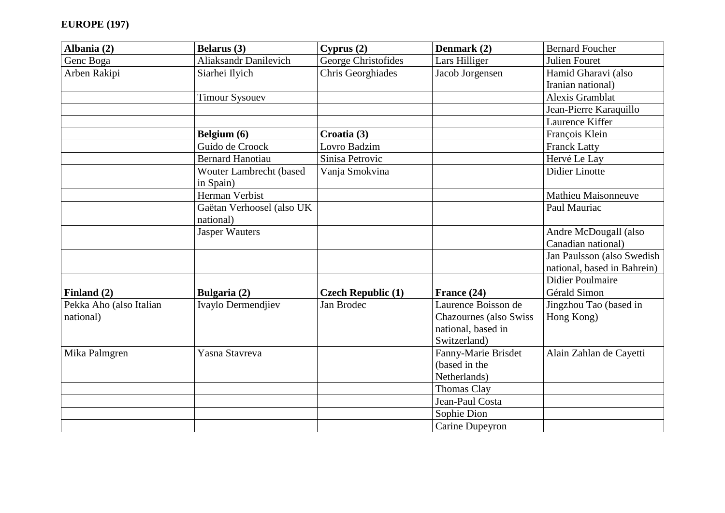| Albania (2)             | Belarus (3)                  | Cyprus(2)                 | Denmark (2)                    | <b>Bernard Foucher</b>      |
|-------------------------|------------------------------|---------------------------|--------------------------------|-----------------------------|
| Genc Boga               | <b>Aliaksandr Danilevich</b> | George Christofides       | Lars Hilliger                  | Julien Fouret               |
| Arben Rakipi            | Siarhei Ilyich               | Chris Georghiades         | Jacob Jorgensen                | Hamid Gharavi (also         |
|                         |                              |                           |                                | Iranian national)           |
|                         | <b>Timour Sysouev</b>        |                           |                                | Alexis Gramblat             |
|                         |                              |                           |                                | Jean-Pierre Karaquillo      |
|                         |                              |                           |                                | Laurence Kiffer             |
|                         | Belgium (6)                  | Croatia (3)               |                                | François Klein              |
|                         | Guido de Croock              | Lovro Badzim              |                                | <b>Franck Latty</b>         |
|                         | <b>Bernard Hanotiau</b>      | Sinisa Petrovic           |                                | Hervé Le Lay                |
|                         | Wouter Lambrecht (based      | Vanja Smokvina            |                                | <b>Didier Linotte</b>       |
|                         | in Spain)                    |                           |                                |                             |
|                         | Herman Verbist               |                           |                                | Mathieu Maisonneuve         |
|                         | Gaëtan Verhoosel (also UK    |                           |                                | Paul Mauriac                |
|                         | national)                    |                           |                                |                             |
|                         | <b>Jasper Wauters</b>        |                           |                                | Andre McDougall (also       |
|                         |                              |                           |                                | Canadian national)          |
|                         |                              |                           |                                | Jan Paulsson (also Swedish  |
|                         |                              |                           |                                | national, based in Bahrein) |
|                         |                              |                           |                                | <b>Didier Poulmaire</b>     |
| Finland (2)             | Bulgaria (2)                 | <b>Czech Republic (1)</b> | France (24)                    | Gérald Simon                |
| Pekka Aho (also Italian | Ivaylo Dermendjiev           | Jan Brodec                | Laurence Boisson de            | Jingzhou Tao (based in      |
| national)               |                              |                           | <b>Chazournes</b> (also Swiss) | Hong Kong)                  |
|                         |                              |                           | national, based in             |                             |
|                         |                              |                           | Switzerland)                   |                             |
| Mika Palmgren           | Yasna Stavreva               |                           | Fanny-Marie Brisdet            | Alain Zahlan de Cayetti     |
|                         |                              |                           | (based in the                  |                             |
|                         |                              |                           | Netherlands)                   |                             |
|                         |                              |                           | <b>Thomas Clay</b>             |                             |
|                         |                              |                           | Jean-Paul Costa                |                             |
|                         |                              |                           | Sophie Dion                    |                             |
|                         |                              |                           | Carine Dupeyron                |                             |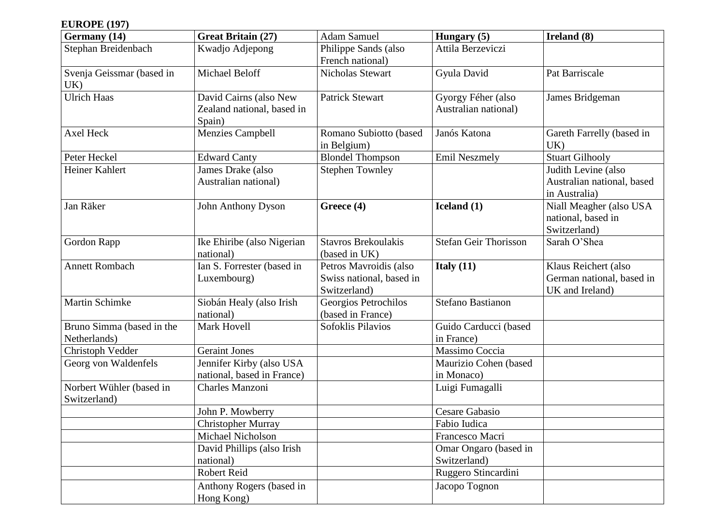# **EUROPE (197)**

| Germany (14)                              | <b>Great Britain (27)</b>                                      | <b>Adam Samuel</b>                                                 | Hungary (5)                                | Ireland (8)                                                          |
|-------------------------------------------|----------------------------------------------------------------|--------------------------------------------------------------------|--------------------------------------------|----------------------------------------------------------------------|
| Stephan Breidenbach                       | Kwadjo Adjepong                                                | Philippe Sands (also<br>French national)                           | Attila Berzeviczi                          |                                                                      |
| Svenja Geissmar (based in<br>UK)          | Michael Beloff                                                 | <b>Nicholas Stewart</b>                                            | Gyula David                                | Pat Barriscale                                                       |
| Ulrich Haas                               | David Cairns (also New<br>Zealand national, based in<br>Spain) | <b>Patrick Stewart</b>                                             | Gyorgy Féher (also<br>Australian national) | James Bridgeman                                                      |
| <b>Axel Heck</b>                          | <b>Menzies Campbell</b>                                        | Romano Subiotto (based<br>in Belgium)                              | Janós Katona                               | Gareth Farrelly (based in<br>UK)                                     |
| Peter Heckel                              | <b>Edward Canty</b>                                            | <b>Blondel Thompson</b>                                            | <b>Emil Neszmely</b>                       | <b>Stuart Gilhooly</b>                                               |
| Heiner Kahlert                            | James Drake (also<br>Australian national)                      | <b>Stephen Townley</b>                                             |                                            | Judith Levine (also<br>Australian national, based<br>in Australia)   |
| Jan Räker                                 | <b>John Anthony Dyson</b>                                      | Greece (4)                                                         | Iceland (1)                                | Niall Meagher (also USA<br>national, based in<br>Switzerland)        |
| Gordon Rapp                               | Ike Ehiribe (also Nigerian<br>national)                        | <b>Stavros Brekoulakis</b><br>(based in UK)                        | <b>Stefan Geir Thorisson</b>               | Sarah O'Shea                                                         |
| <b>Annett Rombach</b>                     | Ian S. Forrester (based in<br>Luxembourg)                      | Petros Mavroidis (also<br>Swiss national, based in<br>Switzerland) | Italy $(11)$                               | Klaus Reichert (also<br>German national, based in<br>UK and Ireland) |
| <b>Martin Schimke</b>                     | Siobán Healy (also Irish<br>national)                          | Georgios Petrochilos<br>(based in France)                          | Stefano Bastianon                          |                                                                      |
| Bruno Simma (based in the<br>Netherlands) | Mark Hovell                                                    | Sofoklis Pilavios                                                  | Guido Carducci (based<br>in France)        |                                                                      |
| Christoph Vedder                          | <b>Geraint Jones</b>                                           |                                                                    | Massimo Coccia                             |                                                                      |
| Georg von Waldenfels                      | Jennifer Kirby (also USA<br>national, based in France)         |                                                                    | Maurizio Cohen (based<br>in Monaco)        |                                                                      |
| Norbert Wühler (based in<br>Switzerland)  | <b>Charles Manzoni</b>                                         |                                                                    | Luigi Fumagalli                            |                                                                      |
|                                           | John P. Mowberry                                               |                                                                    | <b>Cesare Gabasio</b>                      |                                                                      |
|                                           | <b>Christopher Murray</b>                                      |                                                                    | Fabio Iudica                               |                                                                      |
|                                           | Michael Nicholson                                              |                                                                    | Francesco Macri                            |                                                                      |
|                                           | David Phillips (also Irish<br>national)                        |                                                                    | Omar Ongaro (based in<br>Switzerland)      |                                                                      |
|                                           | Robert Reid                                                    |                                                                    | Ruggero Stincardini                        |                                                                      |
|                                           | Anthony Rogers (based in<br>Hong Kong)                         |                                                                    | Jacopo Tognon                              |                                                                      |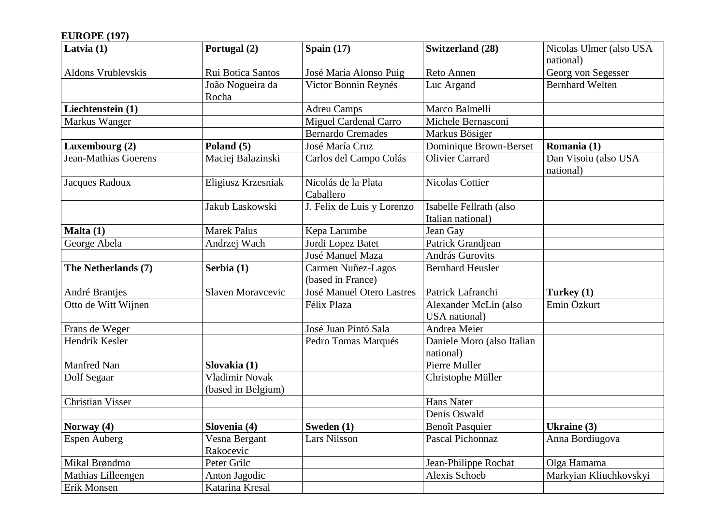# **EUROPE (197)**

| Latvia $(1)$            | Portugal (2)               | Spain $(17)$                     | <b>Switzerland (28)</b>    | Nicolas Ulmer (also USA           |
|-------------------------|----------------------------|----------------------------------|----------------------------|-----------------------------------|
|                         |                            |                                  |                            | national)                         |
| Aldons Vrublevskis      | Rui Botica Santos          | José María Alonso Puig           | Reto Annen                 | Georg von Segesser                |
|                         | João Nogueira da           | Victor Bonnin Reynés             | Luc Argand                 | <b>Bernhard Welten</b>            |
|                         | Rocha                      |                                  |                            |                                   |
| Liechtenstein (1)       |                            | <b>Adreu Camps</b>               | Marco Balmelli             |                                   |
| Markus Wanger           |                            | <b>Miguel Cardenal Carro</b>     | Michele Bernasconi         |                                   |
|                         |                            | <b>Bernardo Cremades</b>         | Markus Bösiger             |                                   |
| Luxembourg (2)          | Poland (5)                 | José María Cruz                  | Dominique Brown-Berset     | Romania (1)                       |
| Jean-Mathias Goerens    | Maciej Balazinski          | Carlos del Campo Colás           | <b>Olivier Carrard</b>     | Dan Visoiu (also USA<br>national) |
| Jacques Radoux          | Eligiusz Krzesniak         | Nicolás de la Plata              | <b>Nicolas Cottier</b>     |                                   |
|                         |                            | Caballero                        |                            |                                   |
|                         | Jakub Laskowski            | J. Felix de Luis y Lorenzo       | Isabelle Fellrath (also    |                                   |
|                         |                            |                                  | Italian national)          |                                   |
| Malta (1)               | <b>Marek Palus</b>         | Kepa Larumbe                     | Jean Gay                   |                                   |
| George Abela            | Andrzej Wach               | Jordi Lopez Batet                | Patrick Grandjean          |                                   |
|                         |                            | José Manuel Maza                 | András Gurovits            |                                   |
| The Netherlands (7)     | Serbia (1)                 | Carmen Nuñez-Lagos               | <b>Bernhard Heusler</b>    |                                   |
|                         |                            | (based in France)                |                            |                                   |
| André Brantjes          | Slaven Moravcevic          | <b>José Manuel Otero Lastres</b> | Patrick Lafranchi          | Turkey (1)                        |
| Otto de Witt Wijnen     |                            | Félix Plaza                      | Alexander McLin (also      | Emin Özkurt                       |
|                         |                            |                                  | USA national)              |                                   |
| Frans de Weger          |                            | José Juan Pintó Sala             | Andrea Meier               |                                   |
| Hendrik Kesler          |                            | Pedro Tomas Marqués              | Daniele Moro (also Italian |                                   |
|                         |                            |                                  | national)                  |                                   |
| Manfred Nan             | Slovakia (1)               |                                  | Pierre Muller              |                                   |
| Dolf Segaar             | <b>Vladimir Novak</b>      |                                  | Christophe Müller          |                                   |
|                         | (based in Belgium)         |                                  |                            |                                   |
| <b>Christian Visser</b> |                            |                                  | <b>Hans Nater</b>          |                                   |
|                         |                            |                                  | Denis Oswald               |                                   |
| Norway (4)              | Slovenia (4)               | Sweden (1)                       | Benoît Pasquier            | Ukraine (3)                       |
| <b>Espen Auberg</b>     | Vesna Bergant<br>Rakocevic | <b>Lars Nilsson</b>              | <b>Pascal Pichonnaz</b>    | Anna Bordiugova                   |
| Mikal Brøndmo           | Peter Grilc                |                                  | Jean-Philippe Rochat       | Olga Hamama                       |
| Mathias Lilleengen      | Anton Jagodic              |                                  | Alexis Schoeb              | Markyian Kliuchkovskyi            |
| Erik Monsen             | Katarina Kresal            |                                  |                            |                                   |